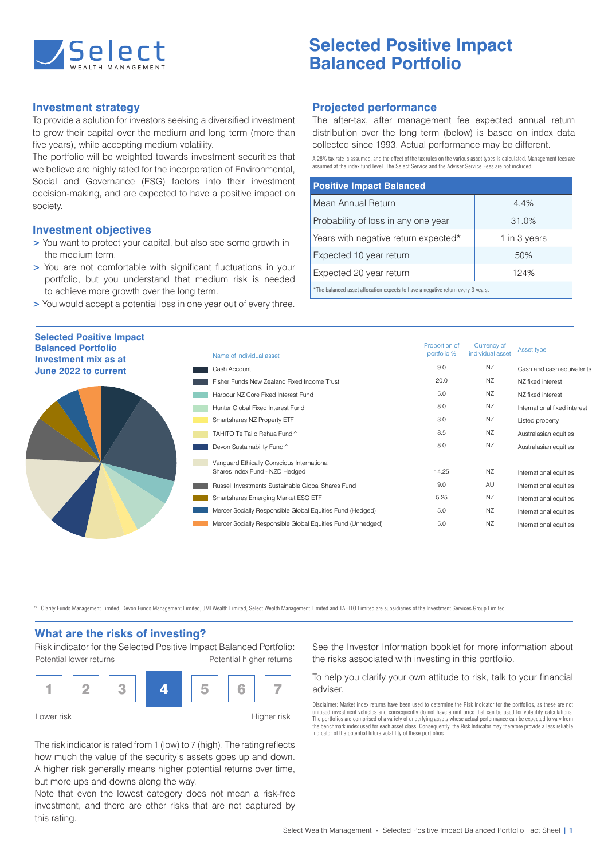

# **Investment strategy**

To provide a solution for investors seeking a diversified investment to grow their capital over the medium and long term (more than five years), while accepting medium volatility.

The portfolio will be weighted towards investment securities that we believe are highly rated for the incorporation of Environmental. Social and Governance (ESG) factors into their investment decision-making, and are expected to have a positive impact on society.

## **Investment objectives**

- **>** You want to protect your capital, but also see some growth in the medium term.
- **>** You are not comfortable with significant fluctuations in your portfolio, but you understand that medium risk is needed to achieve more growth over the long term.
- **>** You would accept a potential loss in one year out of every three.

#### **Projected performance**

The after-tax, after management fee expected annual return distribution over the long term (below) is based on index data collected since 1993. Actual performance may be different.

A 28% tax rate is assumed, and the effect of the tax rules on the various asset types is calculated. Management fees are assumed at the index fund level. The Select Service and the Adviser Service Fees are not included.

| <b>Positive Impact Balanced</b>      |              |  |  |  |
|--------------------------------------|--------------|--|--|--|
| Mean Annual Return                   | 4.4%         |  |  |  |
| Probability of loss in any one year  | 31.0%        |  |  |  |
| Years with negative return expected* | 1 in 3 years |  |  |  |
| Expected 10 year return              | 50%          |  |  |  |
| Expected 20 year return              | 124%         |  |  |  |
|                                      |              |  |  |  |

\*The balanced asset allocation expects to have a negative return every 3 years.

| <b>Selected Positive Impact</b><br><b>Balanced Portfolio</b><br>Investment mix as at | Name of individual asset                                    | Proportion of<br>portfolio % | Currency of<br>individual asset | Asset type                   |
|--------------------------------------------------------------------------------------|-------------------------------------------------------------|------------------------------|---------------------------------|------------------------------|
| June 2022 to current                                                                 | Cash Account                                                | 9.0                          | NZ                              | Cash and cash equivalents    |
|                                                                                      | Fisher Funds New Zealand Fixed Income Trust                 | 20.0                         | NZ                              | N7 fixed interest            |
|                                                                                      | Harbour NZ Core Fixed Interest Fund                         | 5.0                          | NZ                              | NZ fixed interest            |
|                                                                                      | Hunter Global Fixed Interest Fund                           | 8.0                          | NZ                              | International fixed interest |
|                                                                                      | Smartshares NZ Property ETF                                 | 3.0                          | NZ                              | Listed property              |
|                                                                                      | TAHITO Te Tai o Rehua Fund ^                                | 8.5                          | NZ                              | Australasian equities        |
|                                                                                      | Devon Sustainability Fund ^                                 | 8.0                          | NZ                              | Australasian equities        |
|                                                                                      | Vanguard Ethically Conscious International                  |                              |                                 |                              |
|                                                                                      | Shares Index Fund - NZD Hedged                              | 14.25                        | NZ                              | International equities       |
|                                                                                      | Russell Investments Sustainable Global Shares Fund          | 9.0                          | AU                              | International equities       |
|                                                                                      | Smartshares Emerging Market ESG ETF                         | 5.25                         | <b>NZ</b>                       | International equities       |
|                                                                                      | Mercer Socially Responsible Global Equities Fund (Hedged)   | 5.0                          | NZ                              | International equities       |
|                                                                                      | Mercer Socially Responsible Global Equities Fund (Unhedged) | 5.0                          | NZ                              | International equities       |
|                                                                                      |                                                             |                              |                                 |                              |

^ Clarity Funds Management Limited, Devon Funds Management Limited, JMI Wealth Limited, Select Wealth Management Limited and TAHITO Limited are subsidiaries of the Investment Services Group Limited.

#### **What are the risks of investing?**

Risk indicator for the Selected Positive Impact Balanced Portfolio: Potential higher returns Potential lower returns



The risk indicator is rated from 1 (low) to 7 (high). The rating reflects how much the value of the security's assets goes up and down. A higher risk generally means higher potential returns over time, but more ups and downs along the way.

Note that even the lowest category does not mean a risk-free investment, and there are other risks that are not captured by this rating.

See the Investor Information booklet for more information about the risks associated with investing in this portfolio.

To help you clarify your own attitude to risk, talk to your financial adviser.

Disclaimer: Market index returns have been used to determine the Risk Indicator for the portfolios, as these are not unitised investment vehicles and consequently do not have a unit price that can be used for volatility calculations.<br>The portfolios are comprised of a variety of underlying assets whose actual performance can be expected t the benchmark index used for each asset class. Consequently, the Risk Indicator may therefore provide a less reliable indicator of the potential future volatility of these portfolios.